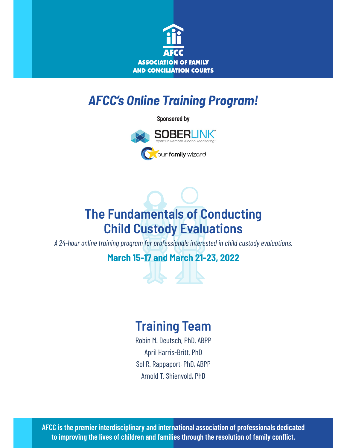

# *AFCC's Online Training Program!*

**Sponsored by**



# **The Fundamentals of Conducting Child Custody Evaluations**

*A 24-hour online training program for professionals interested in child custody evaluations.*

**March 15-17 and March 21-23, 2022**

164

# **Training Team**

Robin M. Deutsch, PhD, ABPP April Harris-Britt, PhD Sol R. Rappaport, PhD, ABPP Arnold T. Shienvold, PhD

**AFCC is the premier interdisciplinary and international association of professionals dedicated to improving the lives of children and families through the resolution of family conflict.**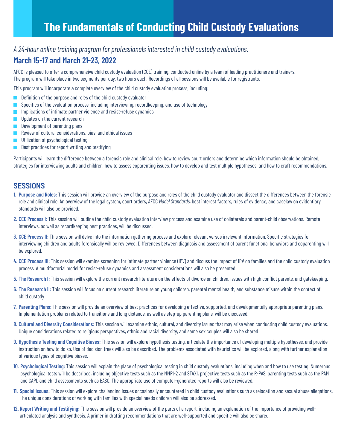### **The Fundamentals of Conducting Child Custody Evaluations**

#### *A 24-hour online training program for professionals interested in child custody evaluations.*

### **March 15-17 and March 21-23, 2022**

AFCC is pleased to offer a comprehensive child custody evaluation (CCE) training, conducted online by a team of leading practitioners and trainers. The program will take place in two segments per day, two hours each. Recordings of all sessions will be available for registrants.

This program will incorporate a complete overview of the child custody evaluation process, including:

- Definition of the purpose and roles of the child custody evaluator
- $\blacksquare$  Specifics of the evaluation process, including interviewing, recordkeeping, and use of technology
- Implications of intimate partner violence and resist-refuse dynamics  $\Box$
- Updates on the current research  $\mathcal{L}_{\mathcal{A}}$
- Development of parenting plans  $\overline{\phantom{a}}$
- Review of cultural considerations, bias, and ethical issues
- Utilization of psychological testing
- Best practices for report writing and testifying  $\mathcal{L}$

Participants will learn the difference between a forensic role and clinical role, how to review court orders and determine which information should be obtained, strategies for interviewing adults and children, how to assess coparenting issues, how to develop and test multiple hypotheses, and how to craft recommendations.

#### **SESSIONS**

- **1. Purpose and Roles:** This session will provide an overview of the purpose and roles of the child custody evaluator and dissect the differences between the forensic role and clinical role. An overview of the legal system, court orders, AFCC *Model Standards,* best interest factors, rules of evidence, and caselaw on evidentiary standards will also be provided.
- **2. CCE Process I:** This session will outline the child custody evaluation interview process and examine use of collaterals and parent-child observations. Remote interviews, as well as recordkeeping best practices, will be discussed.
- **3. CCE Process II:** This session will delve into the information gathering process and explore relevant versus irrelevant information. Specific strategies for interviewing children and adults forensically will be reviewed. Differences between diagnosis and assessment of parent functional behaviors and coparenting will be explored.
- **4. CCE Process III:** This session will examine screening for intimate partner violence (IPV) and discuss the impact of IPV on families and the child custody evaluation process. A multifactorial model for resist-refuse dynamics and assessment considerations will also be presented.
- **5. The Research I:** This session will explore the current research literature on the effects of divorce on children, issues with high conflict parents, and gatekeeping.
- **6. The Research II:** This session will focus on current research literature on young children, parental mental health, and substance misuse within the context of child custody.
- **7. Parenting Plans:** This session will provide an overview of best practices for developing effective, supported, and developmentally appropriate parenting plans. Implementation problems related to transitions and long distance, as well as step-up parenting plans, will be discussed.
- **8. Cultural and Diversity Considerations:** This session will examine ethnic, cultural, and diversity issues that may arise when conducting child custody evaluations. Unique considerations related to religious perspectives, ethnic and racial diversity, and same sex couples will also be shared.
- **9. Hypothesis Testing and Cognitive Biases:** This session will explore hypothesis testing, articulate the importance of developing multiple hypotheses, and provide instruction on how to do so. Use of decision trees will also be described. The problems associated with heuristics will be explored, along with further explanation of various types of cognitive biases.
- **10. Psychological Testing:** This session will explain the place of psychological testing in child custody evaluations, including when and how to use testing. Numerous psychological tests will be described, including objective tests such as the MMPI-2 and STAXI, projective tests such as the R-PAS, parenting tests such as the PAM and CAPI, and child assessments such as BASC. The appropriate use of computer-generated reports will also be reviewed.
- **11. Special Issues:** This session will explore challenging issues occasionally encountered in child custody evaluations such as relocation and sexual abuse allegations. The unique considerations of working with families with special needs children will also be addressed.
- **12. Report Writing and Testifying:** This session will provide an overview of the parts of a report, including an explanation of the importance of providing wellarticulated analysis and synthesis. A primer in drafting recommendations that are well-supported and specific will also be shared.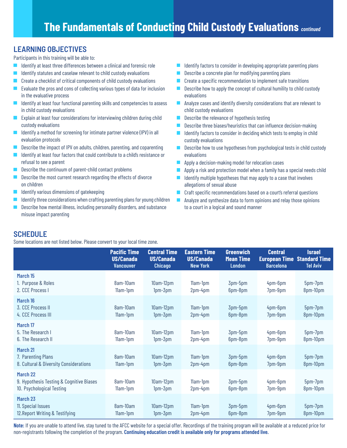### **LEARNING OBJECTIVES**

Participants in this training will be able to:

- Identify at least three differences between a clinical and forensic role  $\mathcal{L}_{\mathcal{A}}$
- Identify statutes and caselaw relevant to child custody evaluations
- Create a checklist of critical components of child custody evaluations
- Evaluate the pros and cons of collecting various types of data for inclusion  $\Box$ in the evaluative process
- $\blacksquare$  Identify at least four functional parenting skills and competencies to assess in child custody evaluations
- Explain at least four considerations for interviewing children during child custody evaluations
- **Tale** Identify a method for screening for intimate partner violence (IPV) in all evaluation protocols
- Describe the impact of IPV on adults, children, parenting, and coparenting
- $\mathcal{L}_{\mathcal{A}}$ Identify at least four factors that could contribute to a child's resistance or refusal to see a parent
- Describe the continuum of parent-child contact problems
- $\blacksquare$ Describe the most current research regarding the effects of divorce on children
- **The Second** Identify various dimensions of gatekeeping
- Identify three considerations when crafting parenting plans for young children
- Describe how mental illness, including personality disorders, and substance  $\Box$ misuse impact parenting
- Identify factors to consider in developing appropriate parenting plans
- Describe a concrete plan for modifying parenting plans
- Create a specific recommendation to implement safe transitions
- Describe how to apply the concept of cultural humility to child custody evaluations
- **Analyze cases and identify diversity considerations that are relevant to** child custody evaluations
- $\mathcal{L}_{\text{max}}$ Describe the relevance of hypothesis testing
- $\blacksquare$  Describe three biases/heuristics that can influence decision-making
- Identify factors to consider in deciding which tests to employ in child custody evaluations
- Describe how to use hypotheses from psychological tests in child custody **The Second Service** evaluations
- Apply a decision-making model for relocation cases  $\mathcal{L}_{\mathcal{A}}$
- $\blacksquare$ Apply a risk and protection model when a family has a special needs child
- Identify multiple hypotheses that may apply to a case that involves  $\mathcal{A}$ allegations of sexual abuse
- **Craft specific recommendations based on a court's referral questions**
- $\mathcal{L}_{\mathcal{A}}$ Analyze and synthesize data to form opinions and relay those opinions to a court in a logical and sound manner

### **SCHEDULE**

Some locations are not listed below. Please convert to your local time zone.

|                                                                                   | <b>Pacific Time</b><br><b>US/Canada</b><br><b>Vancouver</b> | <b>Central Time</b><br><b>US/Canada</b><br><b>Chicago</b> | <b>Eastern Time</b><br><b>US/Canada</b><br><b>New York</b> | <b>Greenwich</b><br><b>Mean Time</b><br><b>London</b> | <b>Central</b><br><b>European Time</b><br><b>Barcelona</b> | <b>Israel</b><br><b>Standard Time</b><br><b>Tel Aviv</b> |
|-----------------------------------------------------------------------------------|-------------------------------------------------------------|-----------------------------------------------------------|------------------------------------------------------------|-------------------------------------------------------|------------------------------------------------------------|----------------------------------------------------------|
| March 15<br>1. Purpose & Roles<br>2. CCE Process I                                | 8am-10am<br>11am-1pm                                        | 10am-12pm<br>1pm-3pm                                      | 11am-1pm<br>2pm-4pm                                        | 3pm-5pm<br>6pm-8pm                                    | 4pm-6pm<br>7pm-9pm                                         | 5pm-7pm<br>8pm-10pm                                      |
| March 16<br>3. CCE Process II<br>4. CCE Process III                               | 8am-10am<br>11am-1pm                                        | $10am-12pm$<br>$1pm-3pm$                                  | 11am-1pm<br>2pm-4pm                                        | 3pm-5pm<br>6pm-8pm                                    | 4pm-6pm<br>7pm-9pm                                         | 5pm-7pm<br>8pm-10pm                                      |
| March 17<br>5. The Research I<br>6. The Research II                               | 8am-10am<br>11am-1pm                                        | $10am-12pm$<br>$1pm-3pm$                                  | 11am-1pm<br>2pm-4pm                                        | 3pm-5pm<br>6pm-8pm                                    | 4pm-6pm<br>7pm-9pm                                         | 5pm-7pm<br>8pm-10pm                                      |
| March 21<br>7. Parenting Plans<br>8. Cultural & Diversity Considerations          | 8am-10am<br>11am-1pm                                        | $10am-12pm$<br>1pm-3pm                                    | 11am-1pm<br>2pm-4pm                                        | 3pm-5pm<br>6pm-8pm                                    | 4pm-6pm<br>7pm-9pm                                         | 5pm-7pm<br>8pm-10pm                                      |
| March 22<br>9. Hypothesis Testing & Cognitive Biases<br>10. Psychological Testing | 8am-10am<br>11am-1pm                                        | 10am-12pm<br>1pm-3pm                                      | 11am-1pm<br>2pm-4pm                                        | 3pm-5pm<br>6pm-8pm                                    | 4pm-6pm<br>7pm-9pm                                         | 5pm-7pm<br>8pm-10pm                                      |
| March 23<br>11. Special Issues<br>12. Report Writing & Testifying                 | 8am-10am<br>11am-1pm                                        | 10am-12pm<br>1pm-3pm                                      | 11am-1pm<br>2pm-4pm                                        | 3pm-5pm<br>6pm-8pm                                    | 4pm-6pm<br>7pm-9pm                                         | 5pm-7pm<br>8pm-10pm                                      |

**Note:** If you are unable to attend live, stay tuned to the AFCC website for a special offer. Recordings of the training program will be available at a reduced price for non-registrants following the completion of the program. **Continuing education credit is available only for programs attended live.**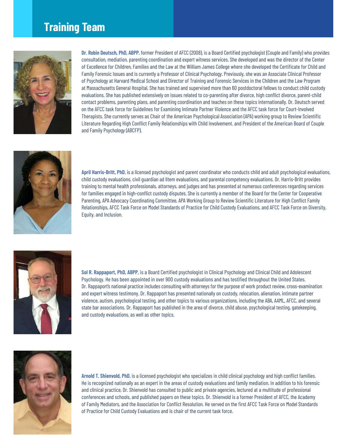### **Training Team**



**Dr. Robin Deutsch, PhD, ABPP**, former President of AFCC (2008), is a Board Certified psychologist (Couple and Family) who provides consultation, mediation, parenting coordination and expert witness services. She developed and was the director of the Center of Excellence for Children, Families and the Law at the William James College where she developed the Certificate for Child and Family Forensic Issues and is currently a Professor of Clinical Psychology. Previously, she was an Associate Clinical Professor of Psychology at Harvard Medical School and Director of Training and Forensic Services in the Children and the Law Program at Massachusetts General Hospital. She has trained and supervised more than 60 postdoctoral fellows to conduct child custody evaluations. She has published extensively on issues related to co-parenting after divorce, high conflict divorce, parent-child contact problems, parenting plans, and parenting coordination and teaches on these topics internationally. Dr. Deutsch served on the AFCC task force for Guidelines for Examining Intimate Partner Violence and the AFCC task force for Court-Involved Therapists. She currently serves as Chair of the American Psychological Association (APA) working group to Review Scientific Literature Regarding High Conflict Family Relationships with Child Involvement. and President of the American Board of Couple and Family Psychology (ABCFP).



**April Harris-Britt, PhD**, is a licensed psychologist and parent coordinator who conducts child and adult psychological evaluations, child custody evaluations, civil guardian ad litem evaluations, and parental competency evaluations. Dr. Harris-Britt provides training to mental health professionals, attorneys, and judges and has presented at numerous conferences regarding services for families engaged in high-conflict custody disputes. She is currently a member of the Board for the Center for Cooperative Parenting, APA Advocacy Coordinating Committee, APA Working Group to Review Scientific Literature for High Conflict Family Relationships, AFCC Task Force on Model Standards of Practice for Child Custody Evaluations, and AFCC Task Force on Diversity, Equity, and Inclusion.



**Sol R. Rappaport, PhD, ABPP**, is a Board Certified psychologist in Clinical Psychology and Clinical Child and Adolescent Psychology. He has been appointed in over 900 custody evaluations and has testified throughout the United States. Dr. Rappaport's national practice includes consulting with attorneys for the purpose of work product review, cross-examination and expert witness testimony. Dr. Rappaport has presented nationally on custody, relocation, alienation, intimate partner violence, autism, psychological testing, and other topics to various organizations, including the ABA, AAML, AFCC, and several state bar associations. Dr. Rappaport has published in the area of divorce, child abuse, psychological testing, gatekeeping, and custody evaluations, as well as other topics.



**Arnold T. Shienvold, PhD**, is a licensed psychologist who specializes in child clinical psychology and high conflict families. He is recognized nationally as an expert in the areas of custody evaluations and family mediation. In addition to his forensic and clinical practice, Dr. Shienvold has consulted to public and private agencies, lectured at a multitude of professional conferences and schools, and published papers on these topics. Dr. Shienvold is a former President of AFCC, the Academy of Family Mediators, and the Association for Conflict Resolution. He served on the first AFCC Task Force on Model Standards of Practice for Child Custody Evaluations and is chair of the current task force.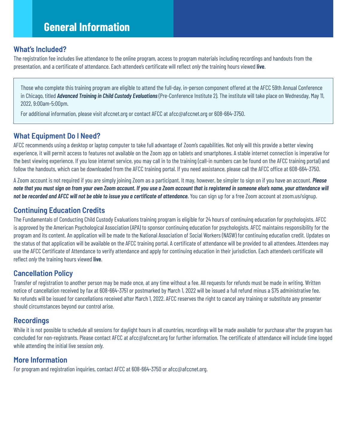### **General Information**

#### **What's Included?**

The registration fee includes live attendance to the online program, access to program materials including recordings and handouts from the presentation, and a certificate of attendance. Each attendee's certificate will reflect *only* the training hours viewed **live**.

Those who complete this training program are eligible to attend the full-day, in-person component offered at the AFCC 59th Annual Conference in Chicago, titled *Advanced Training in Child Custody Evaluations* (Pre-Conference Institute 2). The institute will take place on Wednesday, May 11, 2022, 9:00am-5:00pm.

For additional information, please visit afccnet.org or contact AFCC at afcc@afccnet.org or 608-664-3750.

### **What Equipment Do I Need?**

AFCC recommends using a desktop or laptop computer to take full advantage of Zoom's capabilities. Not only will this provide a better viewing experience, it will permit access to features not available on the Zoom app on tablets and smartphones. A stable internet connection is imperative for the best viewing experience. If you lose internet service, you may call in to the training (call-in numbers can be found on the AFCC training portal) and follow the handouts, which can be downloaded from the AFCC training portal. If you need assistance, please call the AFCC office at 608-664-3750.

A Zoom account is not required if you are simply joining Zoom as a participant. It may, however, be simpler to sign on if you have an account. *Please note that you must sign on from your own Zoom account. If you use a Zoom account that is registered in someone else's name, your attendance will*  not be recorded and AFCC will not be able to issue you a certificate of attendance. You can sign up for a free Zoom account at zoom.us/signup.

### **Continuing Education Credits**

The Fundamentals of Conducting Child Custody Evaluations training program is eligible for 24 hours of continuing education for psychologists. AFCC is approved by the American Psychological Association (APA) to sponsor continuing education for psychologists. AFCC maintains responsibility for the program and its content. An application will be made to the National Association of Social Workers (NASW) for continuing education credit. Updates on the status of that application will be available on the AFCC training portal. A certificate of attendance will be provided to all attendees. Attendees may use the AFCC Certificate of Attendance to verify attendance and apply for continuing education in their jurisdiction. Each attendee's certificate will reflect *only* the training hours viewed **live**.

### **Cancellation Policy**

Transfer of registration to another person may be made once, at any time without a fee. All requests for refunds must be made in writing. Written notice of cancellation received by fax at 608-664-3751 or postmarked by March 1, 2022 will be issued a full refund minus a \$75 administrative fee. No refunds will be issued for cancellations received after March 1, 2022. AFCC reserves the right to cancel any training or substitute any presenter should circumstances beyond our control arise.

### **Recordings**

While it is not possible to schedule all sessions for daylight hours in all countries, recordings will be made available for purchase after the program has concluded for non-registrants. Please contact AFCC at afcc@afccnet.org for further information. The certificate of attendance will include time logged while attending the initial live session *only.*

### **More Information**

For program and registration inquiries, contact AFCC at 608-664-3750 or afcc@afccnet.org.